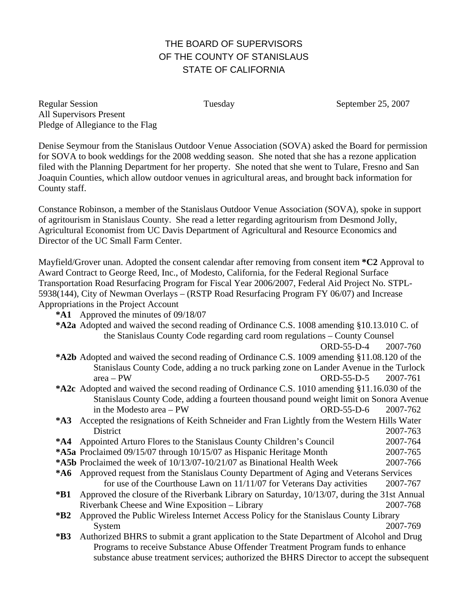## THE BOARD OF SUPERVISORS OF THE COUNTY OF STANISLAUS STATE OF CALIFORNIA

Regular Session Tuesday Tuesday September 25, 2007 All Supervisors Present Pledge of Allegiance to the Flag

Denise Seymour from the Stanislaus Outdoor Venue Association (SOVA) asked the Board for permission for SOVA to book weddings for the 2008 wedding season. She noted that she has a rezone application filed with the Planning Department for her property. She noted that she went to Tulare, Fresno and San Joaquin Counties, which allow outdoor venues in agricultural areas, and brought back information for County staff.

Constance Robinson, a member of the Stanislaus Outdoor Venue Association (SOVA), spoke in support of agritourism in Stanislaus County. She read a letter regarding agritourism from Desmond Jolly, Agricultural Economist from UC Davis Department of Agricultural and Resource Economics and Director of the UC Small Farm Center.

Mayfield/Grover unan. Adopted the consent calendar after removing from consent item **\*C2** Approval to Award Contract to George Reed, Inc., of Modesto, California, for the Federal Regional Surface Transportation Road Resurfacing Program for Fiscal Year 2006/2007, Federal Aid Project No. STPL-5938(144), City of Newman Overlays – (RSTP Road Resurfacing Program FY 06/07) and Increase Appropriations in the Project Account

- **\*A1** Approved the minutes of 09/18/07
- **\*A2a** Adopted and waived the second reading of Ordinance C.S. 1008 amending §10.13.010 C. of the Stanislaus County Code regarding card room regulations – County Counsel ORD-55-D-4 2007-760
- **\*A2b** Adopted and waived the second reading of Ordinance C.S. 1009 amending §11.08.120 of the Stanislaus County Code, adding a no truck parking zone on Lander Avenue in the Turlock area – PW ORD-55-D-5 2007-761
- **\*A2c** Adopted and waived the second reading of Ordinance C.S. 1010 amending §11.16.030 of the Stanislaus County Code, adding a fourteen thousand pound weight limit on Sonora Avenue in the Modesto area – PW ORD-55-D-6 2007-762
- **\*A3** Accepted the resignations of Keith Schneider and Fran Lightly from the Western Hills Water District 2007-763
- **\*A4** Appointed Arturo Flores to the Stanislaus County Children's Council 2007-764
- **\*A5a** Proclaimed 09/15/07 through 10/15/07 as Hispanic Heritage Month 2007-765
- **\*A5b** Proclaimed the week of 10/13/07-10/21/07 as Binational Health Week 2007-766
- **\*A6** Approved request from the Stanislaus County Department of Aging and Veterans Services for use of the Courthouse Lawn on 11/11/07 for Veterans Day activities 2007-767
- **\*B1** Approved the closure of the Riverbank Library on Saturday, 10/13/07, during the 31st Annual Riverbank Cheese and Wine Exposition – Library 2007-768
- **\*B2** Approved the Public Wireless Internet Access Policy for the Stanislaus County Library System 2007-769
- **\*B3** Authorized BHRS to submit a grant application to the State Department of Alcohol and Drug Programs to receive Substance Abuse Offender Treatment Program funds to enhance substance abuse treatment services; authorized the BHRS Director to accept the subsequent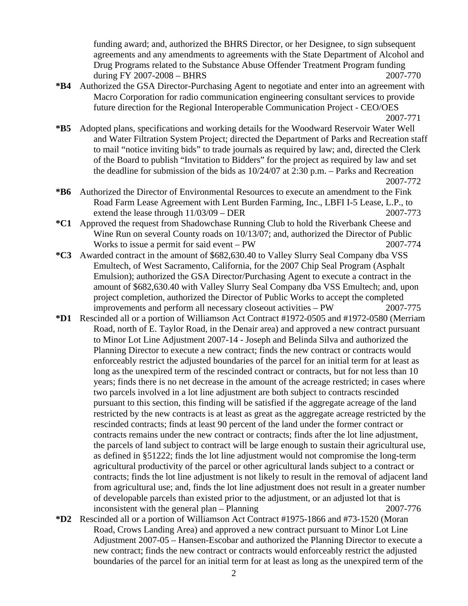funding award; and, authorized the BHRS Director, or her Designee, to sign subsequent agreements and any amendments to agreements with the State Department of Alcohol and Drug Programs related to the Substance Abuse Offender Treatment Program funding during FY 2007-2008 – BHRS 2007-770

**\*B4** Authorized the GSA Director-Purchasing Agent to negotiate and enter into an agreement with Macro Corporation for radio communication engineering consultant services to provide future direction for the Regional Interoperable Communication Project - CEO/OES

- **\*B5** Adopted plans, specifications and working details for the Woodward Reservoir Water Well and Water Filtration System Project; directed the Department of Parks and Recreation staff to mail "notice inviting bids" to trade journals as required by law; and, directed the Clerk of the Board to publish "Invitation to Bidders" for the project as required by law and set the deadline for submission of the bids as 10/24/07 at 2:30 p.m. – Parks and Recreation 2007-772
- **\*B6** Authorized the Director of Environmental Resources to execute an amendment to the Fink Road Farm Lease Agreement with Lent Burden Farming, Inc., LBFI I-5 Lease, L.P., to extend the lease through  $11/03/09 - DER$  2007-773
- **\*C1** Approved the request from Shadowchase Running Club to hold the Riverbank Cheese and Wine Run on several County roads on 10/13/07; and, authorized the Director of Public Works to issue a permit for said event – PW 2007-774
- **\*C3** Awarded contract in the amount of \$682,630.40 to Valley Slurry Seal Company dba VSS Emultech, of West Sacramento, California, for the 2007 Chip Seal Program (Asphalt Emulsion); authorized the GSA Director/Purchasing Agent to execute a contract in the amount of \$682,630.40 with Valley Slurry Seal Company dba VSS Emultech; and, upon project completion, authorized the Director of Public Works to accept the completed improvements and perform all necessary closeout activities – PW 2007-775
- **\*D1** Rescinded all or a portion of Williamson Act Contract #1972-0505 and #1972-0580 (Merriam Road, north of E. Taylor Road, in the Denair area) and approved a new contract pursuant to Minor Lot Line Adjustment 2007-14 - Joseph and Belinda Silva and authorized the Planning Director to execute a new contract; finds the new contract or contracts would enforceably restrict the adjusted boundaries of the parcel for an initial term for at least as long as the unexpired term of the rescinded contract or contracts, but for not less than 10 years; finds there is no net decrease in the amount of the acreage restricted; in cases where two parcels involved in a lot line adjustment are both subject to contracts rescinded pursuant to this section, this finding will be satisfied if the aggregate acreage of the land restricted by the new contracts is at least as great as the aggregate acreage restricted by the rescinded contracts; finds at least 90 percent of the land under the former contract or contracts remains under the new contract or contracts; finds after the lot line adjustment, the parcels of land subject to contract will be large enough to sustain their agricultural use, as defined in §51222; finds the lot line adjustment would not compromise the long-term agricultural productivity of the parcel or other agricultural lands subject to a contract or contracts; finds the lot line adjustment is not likely to result in the removal of adjacent land from agricultural use; and, finds the lot line adjustment does not result in a greater number of developable parcels than existed prior to the adjustment, or an adjusted lot that is inconsistent with the general plan – Planning 2007-776
- **\*D2** Rescinded all or a portion of Williamson Act Contract #1975-1866 and #73-1520 (Moran Road, Crows Landing Area) and approved a new contract pursuant to Minor Lot Line Adjustment 2007-05 – Hansen-Escobar and authorized the Planning Director to execute a new contract; finds the new contract or contracts would enforceably restrict the adjusted boundaries of the parcel for an initial term for at least as long as the unexpired term of the

2007-771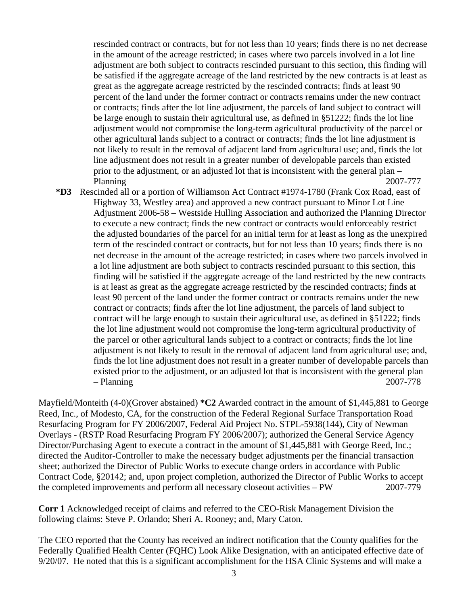rescinded contract or contracts, but for not less than 10 years; finds there is no net decrease in the amount of the acreage restricted; in cases where two parcels involved in a lot line adjustment are both subject to contracts rescinded pursuant to this section, this finding will be satisfied if the aggregate acreage of the land restricted by the new contracts is at least as great as the aggregate acreage restricted by the rescinded contracts; finds at least 90 percent of the land under the former contract or contracts remains under the new contract or contracts; finds after the lot line adjustment, the parcels of land subject to contract will be large enough to sustain their agricultural use, as defined in §51222; finds the lot line adjustment would not compromise the long-term agricultural productivity of the parcel or other agricultural lands subject to a contract or contracts; finds the lot line adjustment is not likely to result in the removal of adjacent land from agricultural use; and, finds the lot line adjustment does not result in a greater number of developable parcels than existed prior to the adjustment, or an adjusted lot that is inconsistent with the general plan – Planning 2007-777

**\*D3** Rescinded all or a portion of Williamson Act Contract #1974-1780 (Frank Cox Road, east of Highway 33, Westley area) and approved a new contract pursuant to Minor Lot Line Adjustment 2006-58 – Westside Hulling Association and authorized the Planning Director to execute a new contract; finds the new contract or contracts would enforceably restrict the adjusted boundaries of the parcel for an initial term for at least as long as the unexpired term of the rescinded contract or contracts, but for not less than 10 years; finds there is no net decrease in the amount of the acreage restricted; in cases where two parcels involved in a lot line adjustment are both subject to contracts rescinded pursuant to this section, this finding will be satisfied if the aggregate acreage of the land restricted by the new contracts is at least as great as the aggregate acreage restricted by the rescinded contracts; finds at least 90 percent of the land under the former contract or contracts remains under the new contract or contracts; finds after the lot line adjustment, the parcels of land subject to contract will be large enough to sustain their agricultural use, as defined in §51222; finds the lot line adjustment would not compromise the long-term agricultural productivity of the parcel or other agricultural lands subject to a contract or contracts; finds the lot line adjustment is not likely to result in the removal of adjacent land from agricultural use; and, finds the lot line adjustment does not result in a greater number of developable parcels than existed prior to the adjustment, or an adjusted lot that is inconsistent with the general plan – Planning 2007-778

Mayfield/Monteith (4-0)(Grover abstained) **\*C2** Awarded contract in the amount of \$1,445,881 to George Reed, Inc., of Modesto, CA, for the construction of the Federal Regional Surface Transportation Road Resurfacing Program for FY 2006/2007, Federal Aid Project No. STPL-5938(144), City of Newman Overlays - (RSTP Road Resurfacing Program FY 2006/2007); authorized the General Service Agency Director/Purchasing Agent to execute a contract in the amount of \$1,445,881 with George Reed, Inc.; directed the Auditor-Controller to make the necessary budget adjustments per the financial transaction sheet; authorized the Director of Public Works to execute change orders in accordance with Public Contract Code, §20142; and, upon project completion, authorized the Director of Public Works to accept the completed improvements and perform all necessary closeout activities – PW 2007-779

**Corr 1** Acknowledged receipt of claims and referred to the CEO-Risk Management Division the following claims: Steve P. Orlando; Sheri A. Rooney; and, Mary Caton.

The CEO reported that the County has received an indirect notification that the County qualifies for the Federally Qualified Health Center (FQHC) Look Alike Designation, with an anticipated effective date of 9/20/07. He noted that this is a significant accomplishment for the HSA Clinic Systems and will make a